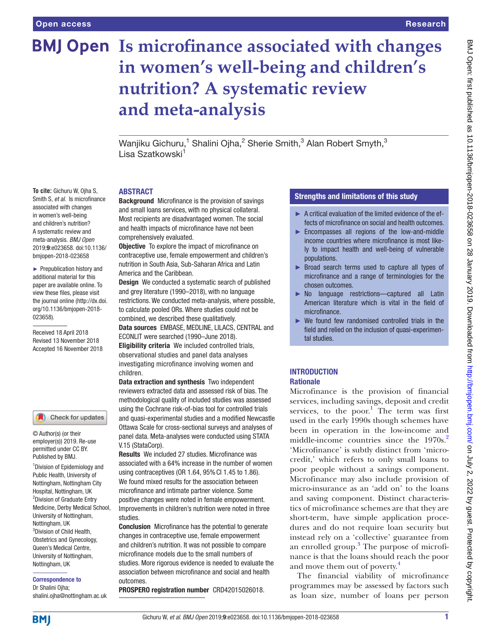**To cite:** Gichuru W, Ojha S, Smith S, *et al*. Is microfinance associated with changes in women's well-being and children's nutrition? A systematic review and meta-analysis. *BMJ Open* 2019;9:e023658. doi:10.1136/ bmjopen-2018-023658 ► Prepublication history and additional material for this paper are available online. To view these files, please visit the journal online [\(http://dx.doi.](http://dx.doi.org/10.1136/bmjopen-2018-023658) [org/10.1136/bmjopen-2018-](http://dx.doi.org/10.1136/bmjopen-2018-023658)

[023658\)](http://dx.doi.org/10.1136/bmjopen-2018-023658).

Received 18 April 2018 Revised 13 November 2018 Accepted 16 November 2018

<sup>1</sup> Division of Epidemiology and Public Health, University of Nottingham, Nottingham City Hospital, Nottingham, UK 2 Division of Graduate Entry Medicine, Derby Medical School, University of Nottingham, Nottingham, UK 3 Division of Child Health, Obstetrics and Gynecology, Queen's Medical Centre, University of Nottingham, Nottingham, UK Correspondence to Dr Shalini Ojha;

Check for updates

© Author(s) (or their employer(s)) 2019. Re-use permitted under CC BY. Published by BMJ.

# **BMJ Open Is microfinance associated with changes in women's well-being and children's nutrition? A systematic review and meta-analysis**

Wanjiku Gichuru, $^1$  Shalini Ojha, $^2$  Sherie Smith, $^3$  Alan Robert Smyth, $^3$ Lisa Szatkowski<sup>1</sup>

#### **ABSTRACT**

Background Microfinance is the provision of savings and small loans services, with no physical collateral. Most recipients are disadvantaged women. The social and health impacts of microfinance have not been comprehensively evaluated.

**Objective** To explore the impact of microfinance on contraceptive use, female empowerment and children's nutrition in South Asia, Sub-Saharan Africa and Latin America and the Caribbean.

**Design** We conducted a systematic search of published and grey literature (1990–2018), with no language restrictions. We conducted meta-analysis, where possible, to calculate pooled ORs. Where studies could not be combined, we described these qualitatively.

Data sources EMBASE, MEDLINE, LILACS, CENTRAL and ECONLIT were searched (1990–June 2018). Eligibility criteria We included controlled trials, observational studies and panel data analyses investigating microfinance involving women and children.

Data extraction and synthesis Two independent reviewers extracted data and assessed risk of bias. The methodological quality of included studies was assessed using the Cochrane risk-of-bias tool for controlled trials and quasi-experimental studies and a modified Newcastle Ottawa Scale for cross-sectional surveys and analyses of panel data. Meta-analyses were conducted using STATA V.15 (StataCorp).

Results We included 27 studies. Microfinance was associated with a 64% increase in the number of women using contraceptives (OR 1.64, 95% Cl 1.45 to 1.86). We found mixed results for the association between microfinance and intimate partner violence. Some positive changes were noted in female empowerment. Improvements in children's nutrition were noted in three studies.

Conclusion Microfinance has the potential to generate changes in contraceptive use, female empowerment and children's nutrition. It was not possible to compare microfinance models due to the small numbers of studies. More rigorous evidence is needed to evaluate the association between microfinance and social and health outcomes.

PROSPERO registration number CRD42015026018.

# Strengths and limitations of this study

- ► A critical evaluation of the limited evidence of the effects of microfinance on social and health outcomes.
- ► Encompasses all regions of the low-and-middle income countries where microfinance is most likely to impact health and well-being of vulnerable populations.
- ► Broad search terms used to capture all types of microfinance and a range of terminologies for the chosen outcomes.
- ► No language restrictions—captured all Latin American literature which is vital in the field of microfinance.
- $\triangleright$  We found few randomised controlled trials in the field and relied on the inclusion of quasi-experimental studies.

# **INTRODUCTION Rationale**

Microfinance is the provision of financial services, including savings, deposit and credit services, to the poor.<sup>[1](#page-15-0)</sup> The term was first used in the early 1990s though schemes have been in operation in the low-income and middle-income countries since the 1970s.<sup>2</sup> 'Microfinance' is subtly distinct from 'microcredit,' which refers to only small loans to poor people without a savings component. Microfinance may also include provision of micro-insurance as an 'add on' to the loans and saving component. Distinct characteristics of microfinance schemes are that they are short-term, have simple application procedures and do not require loan security but instead rely on a 'collective' guarantee from an enrolled group.<sup>[3](#page-15-2)</sup> The purpose of microfinance is that the loans should reach the poor and move them out of poverty.<sup>4</sup>

The financial viability of microfinance programmes may be assessed by factors such as loan size, number of loans per person

shalini.ojha@nottingham.ac.uk

**BMI**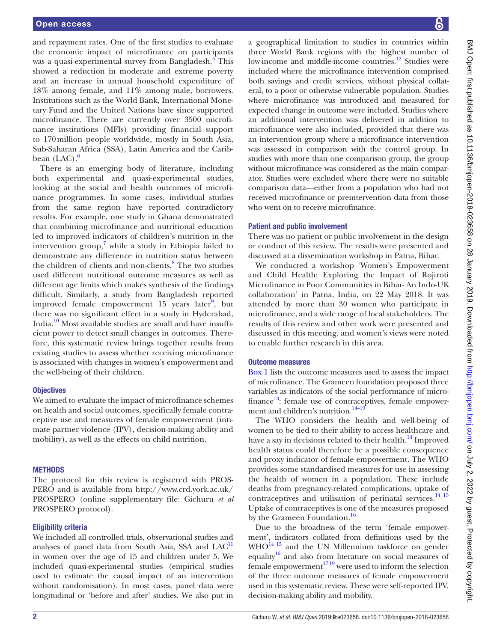and repayment rates. One of the first studies to evaluate the economic impact of microfinance on participants was a quasi-experimental survey from Bangladesh.<sup>[5](#page-15-4)</sup> This showed a reduction in moderate and extreme poverty and an increase in annual household expenditure of 18% among female, and 11% among male, borrowers. Institutions such as the World Bank, International Monetary Fund and the United Nations have since supported microfinance. There are currently over 3500 microfinance institutions (MFIs) providing financial support to 170million people worldwide, mostly in South Asia, Sub-Saharan Africa (SSA), Latin America and the Caribbean  $(LAC).<sup>6</sup>$  $(LAC).<sup>6</sup>$  $(LAC).<sup>6</sup>$ 

There is an emerging body of literature, including both experimental and quasi-experimental studies, looking at the social and health outcomes of microfinance programmes. In some cases, individual studies from the same region have reported contradictory results. For example, one study in Ghana demonstrated that combining microfinance and nutritional education led to improved indicators of children's nutrition in the intervention group,<sup>[7](#page-15-6)</sup> while a study in Ethiopia failed to demonstrate any difference in nutrition status between the children of clients and non-clients.<sup>8</sup> The two studies used different nutritional outcome measures as well as different age limits which makes synthesis of the findings difficult. Similarly, a study from Bangladesh reported improved female empowerment 15 years later<sup>[9](#page-15-8)</sup>, but there was no significant effect in a study in Hyderabad, India.[10](#page-15-9) Most available studies are small and have insufficient power to detect small changes in outcomes. Therefore, this systematic review brings together results from existing studies to assess whether receiving microfinance is associated with changes in women's empowerment and the well-being of their children.

#### **Objectives**

We aimed to evaluate the impact of microfinance schemes on health and social outcomes, specifically female contraceptive use and measures of female empowerment (intimate partner violence (IPV), decision-making ability and mobility), as well as the effects on child nutrition.

#### **METHODS**

The protocol for this review is registered with PROS-PERO and is available from [http://www.crd.york.ac.uk/](http://www.crd.york.ac.uk/PROSPERO) [PROSPERO](http://www.crd.york.ac.uk/PROSPERO) (online [supplementary file:](https://dx.doi.org/10.1136/bmjopen-2018-023658) Gichuru *et al* PROSPERO protocol).

# Eligibility criteria

We included all controlled trials, observational studies and analyses of panel data from South Asia, SSA and LAC<sup>[11](#page-15-10)</sup> in women over the age of 15 and children under 5. We included quasi-experimental studies (empirical studies used to estimate the causal impact of an intervention without randomisation). In most cases, panel data were longitudinal or 'before and after' studies. We also put in

a geographical limitation to studies in countries within three World Bank regions with the highest number of low-income and middle-income countries.<sup>12</sup> Studies were included where the microfinance intervention comprised both savings and credit services, without physical collateral, to a poor or otherwise vulnerable population. Studies where microfinance was introduced and measured for expected change in outcome were included. Studies where an additional intervention was delivered in addition to microfinance were also included, provided that there was an intervention group where a microfinance intervention was assessed in comparison with the control group. In studies with more than one comparison group, the group without microfinance was considered as the main comparator. Studies were excluded where there were no suitable comparison data—either from a population who had not received microfinance or preintervention data from those who went on to receive microfinance.

# Patient and public involvement

There was no patient or public involvement in the design or conduct of this review. The results were presented and discussed at a dissemination workshop in Patna, Bihar.

We conducted a workshop 'Women's Empowerment and Child Health: Exploring the Impact of Rojiroti Microfinance in Poor Communities in Bihar- An Indo-UK collaboration' in Patna, India, on 22 May 2018. It was attended by more than 30 women who participate in microfinance, and a wide range of local stakeholders. The results of this review and other work were presented and discussed in this meeting, and women's views were noted to enable further research in this area.

# Outcome measures

[Box](#page-2-0) 1 lists the outcome measures used to assess the impact of microfinance. The Grameen foundation proposed three variables as indicators of the social performance of microfinance<sup>13</sup>: female use of contraceptives, female empowerment and children's nutrition.<sup>14-19</sup>

The WHO considers the health and well-being of women to be tied to their ability to access healthcare and have a say in decisions related to their health.<sup>14</sup> Improved health status could therefore be a possible consequence and proxy indicator of female empowerment. The WHO provides some standardised measures for use in assessing the health of women in a population. These include deaths from pregnancy-related complications, uptake of contraceptives and utilisation of perinatal services.<sup>[14 15](#page-15-13)</sup> Uptake of contraceptives is one of the measures proposed by the Grameen Foundation.<sup>[16](#page-15-14)</sup>

Due to the broadness of the term 'female empowerment', indicators collated from definitions used by the  $WHO<sup>14 15</sup>$  $WHO<sup>14 15</sup>$  $WHO<sup>14 15</sup>$  and the UN Millennium taskforce on gender equalit[y16](#page-15-14) and also from literature on social measures of female empowerment $1719$  were used to inform the selection of the three outcome measures of female empowerment used in this systematic review. These were self-reported IPV, decision-making ability and mobility.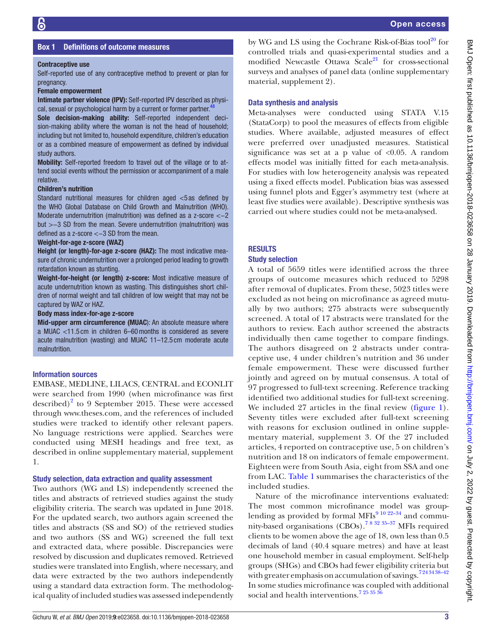<span id="page-2-0"></span>Contraceptive use

#### pregnancy. Female empowerment Intimate partner violence (IPV): Self-reported IPV described as physical, sexual or psychological harm by a current or former partner.<sup>4</sup> Sole decision-making ability: Self-reported independent decision-making ability where the woman is not the head of household; including but not limited to, household expenditure, children's education or as a combined measure of empowerment as defined by individual study authors. Mobility: Self-reported freedom to travel out of the village or to attend social events without the permission or accompaniment of a male relative. Children's nutrition Standard nutritional measures for children aged <5 as defined by the WHO Global Database on Child Growth and Malnutrition (WHO). Moderate undernutrition (malnutrition) was defined as a z-score <−2 but >−3 SD from the mean. Severe undernutrition (malnutrition) was

Self-reported use of any contraceptive method to prevent or plan for

defined as a z-score <−3 SD from the mean.

Box 1 Definitions of outcome measures

# Weight-for-age z-score (WAZ)

Height (or length)-for-age z-score (HAZ): The most indicative measure of chronic undernutrition over a prolonged period leading to growth retardation known as stunting.

Weight-for-height (or length) z-score: Most indicative measure of acute undernutrition known as wasting. This distinguishes short children of normal weight and tall children of low weight that may not be captured by WAZ or HAZ.

#### Body mass index-for-age z-score

Mid-upper arm circumference (MUAC): An absolute measure where a MUAC <11.5 cm in children 6–60months is considered as severe acute malnutrition (wasting) and MUAC 11–12.5 cm moderate acute malnutrition.

#### Information sources

EMBASE, MEDLINE, LILACS, CENTRAL and ECONLIT were searched from 1990 (when microfinance was first described) $2$  to 9 September 2015. These were accessed through <www.theses.com>, and the references of included studies were tracked to identify other relevant papers. No language restrictions were applied. Searches were conducted using MESH headings and free text, as described in online [supplementary material, supplement](https://dx.doi.org/10.1136/bmjopen-2018-023658) [1.](https://dx.doi.org/10.1136/bmjopen-2018-023658)

#### Study selection, data extraction and quality assessment

Two authors (WG and LS) independently screened the titles and abstracts of retrieved studies against the study eligibility criteria. The search was updated in June 2018. For the updated search, two authors again screened the titles and abstracts (SS and SO) of the retrieved studies and two authors (SS and WG) screened the full text and extracted data, where possible. Discrepancies were resolved by discussion and duplicates removed. Retrieved studies were translated into English, where necessary, and data were extracted by the two authors independently using a standard data extraction form. The methodological quality of included studies was assessed independently

by WG and LS using the Cochrane Risk-of-Bias tool $^{20}$  for controlled trials and quasi-experimental studies and a modified Newcastle Ottawa Scale<sup>21</sup> for cross-sectional surveys and analyses of panel data (online [supplementary](https://dx.doi.org/10.1136/bmjopen-2018-023658)  [material, supplement 2](https://dx.doi.org/10.1136/bmjopen-2018-023658)).

#### Data synthesis and analysis

Meta-analyses were conducted using STATA V.15 (StataCorp) to pool the measures of effects from eligible studies. Where available, adjusted measures of effect were preferred over unadjusted measures. Statistical significance was set at a p value of  $< 0.05$ . A random effects model was initially fitted for each meta-analysis. For studies with low heterogeneity analysis was repeated using a fixed effects model. Publication bias was assessed using funnel plots and Egger's asymmetry test (where at least five studies were available). Descriptive synthesis was carried out where studies could not be meta-analysed.

# **RESULTS**

# Study selection

A total of 5659 titles were identified across the three groups of outcome measures which reduced to 5298 after removal of duplicates. From these, 5023 titles were excluded as not being on microfinance as agreed mutually by two authors; 275 abstracts were subsequently screened. A total of 17 abstracts were translated for the authors to review. Each author screened the abstracts individually then came together to compare findings. The authors disagreed on 2 abstracts under contraceptive use, 4 under children's nutrition and 36 under female empowerment. These were discussed further jointly and agreed on by mutual consensus. A total of 97 progressed to full-text screening. Reference tracking identified two additional studies for full-text screening. We included 27 articles in the final review [\(figure](#page-3-0) 1). Seventy titles were excluded after full-text screening with reasons for exclusion outlined in online [supple](https://dx.doi.org/10.1136/bmjopen-2018-023658)[mentary material, supplement 3](https://dx.doi.org/10.1136/bmjopen-2018-023658). Of the 27 included articles, 4 reported on contraceptive use, 5 on children's nutrition and 18 on indicators of female empowerment. Eighteen were from South Asia, eight from SSA and one from LAC. [Table](#page-4-0) 1 summarises the characteristics of the included studies.

Nature of the microfinance interventions evaluated: The most common microfinance model was grouplending as provided by formal MFIs $9^{10}$   $22^{-34}$  and community-based organisations (CBOs)[.7 8 32 35–37](#page-15-6) MFIs required clients to be women above the age of 18, own less than 0.5 decimals of land (40.4 square metres) and have at least one household member in casual employment. Self-help groups (SHGs) and CBOs had fewer eligibility criteria but with greater emphasis on accumulation of savings.<sup>7243438-42</sup> In some studies microfinance was coupled with additional social and health interventions.<sup>[7 25 35 36](#page-15-6)</sup>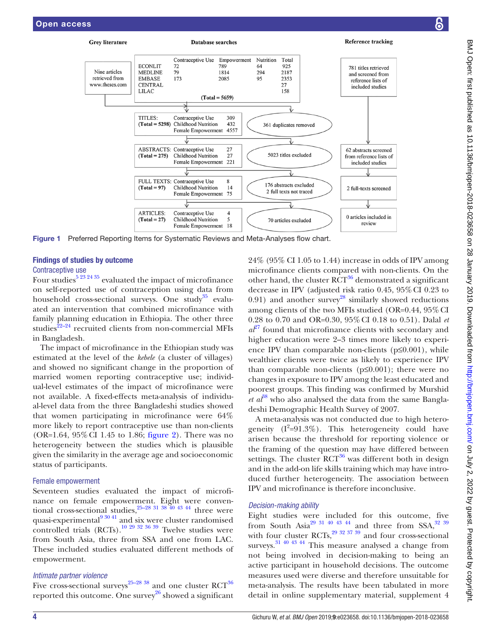

<span id="page-3-0"></span>Figure 1 Preferred Reporting Items for Systematic Reviews and Meta-Analyses flow chart.

# Findings of studies by outcome

# Contraceptive use

Four studies<sup>[5 23 24 35](#page-15-4)</sup> evaluated the impact of microfinance on self-reported use of contraception using data from household cross-sectional surveys. One study<sup>35</sup> evaluated an intervention that combined microfinance with family planning education in Ethiopia. The other three studies $22-24$  recruited clients from non-commercial MFIs in Bangladesh.

The impact of microfinance in the Ethiopian study was estimated at the level of the *kebele* (a cluster of villages) and showed no significant change in the proportion of married women reporting contraceptive use; individual-level estimates of the impact of microfinance were not available. A fixed-effects meta-analysis of individual-level data from the three Bangladeshi studies showed that women participating in microfinance were 64% more likely to report contraceptive use than non-clients (OR=1.64, 95%CI 1.45 to 1.86; [figure](#page-12-0) 2). There was no heterogeneity between the studies which is plausible given the similarity in the average age and socioeconomic status of participants.

#### Female empowerment

Seventeen studies evaluated the impact of microfinance on female empowerment. Eight were conventional cross-sectional studies, $25-28\frac{31}{38}\frac{38}{40}\frac{43}{44}$  three were quasi-experimental $9^{3041}$  and six were cluster randomised controlled trials  $(RCTs)$ .<sup>10 29 32 36 39</sup> Twelve studies were from South Asia, three from SSA and one from LAC. These included studies evaluated different methods of empowerment.

#### *Intimate partner violence*

Five cross-sectional surveys<sup>25–28</sup> <sup>38</sup> and one cluster RCT<sup>36</sup> reported this outcome. One survey<sup>26</sup> showed a significant

24% (95% CI 1.05 to 1.44) increase in odds of IPV among microfinance clients compared with non-clients. On the other hand, the cluster  $\text{RCT}^{36}$  $\text{RCT}^{36}$  $\text{RCT}^{36}$  demonstrated a significant decrease in IPV (adjusted risk ratio 0.45, 95%CI 0.23 to 0.91) and another survey<sup>28</sup> similarly showed reductions among clients of the two MFIs studied (OR= $0.44$ ,  $95\%$  CI 0.28 to 0.70 and OR=0.30, 95%CI 0.18 to 0.51). Dalal *et*   $a<sup>{\mu}</sup>$  found that microfinance clients with secondary and higher education were 2–3 times more likely to experience IPV than comparable non-clients ( $p \leq 0.001$ ), while wealthier clients were twice as likely to experience IPV than comparable non-clients ( $p\leq 0.001$ ); there were no changes in exposure to IPV among the least educated and poorest groups. This finding was confirmed by Murshid  $et\ a^{\beta\delta}$  who also analysed the data from the same Bangladeshi Demographic Health Survey of 2007.

A meta-analysis was not conducted due to high heterogeneity  $(I^2=91.3\%)$ . This heterogeneity could have arisen because the threshold for reporting violence or the framing of the question may have differed between settings. The cluster  $RCT^{36}$  $RCT^{36}$  $RCT^{36}$  was different both in design and in the add-on life skills training which may have introduced further heterogeneity. The association between IPV and microfinance is therefore inconclusive.

#### *Decision-making ability*

Eight studies were included for this outcome, five from South Asia<sup>29 31 40 43 44</sup> and three from SSA,<sup>32 39</sup> with four cluster  $RCTs$ ,  $^{29}$   $^{32}$   $^{37}$   $^{39}$  and four cross-sectional surveys.<sup>31</sup> <sup>40 43 44</sup> This measure analysed a change from not being involved in decision-making to being an active participant in household decisions. The outcome measures used were diverse and therefore unsuitable for meta-analysis. The results have been tabulated in more detail in online [supplementary material, supplement 4](https://dx.doi.org/10.1136/bmjopen-2018-023658)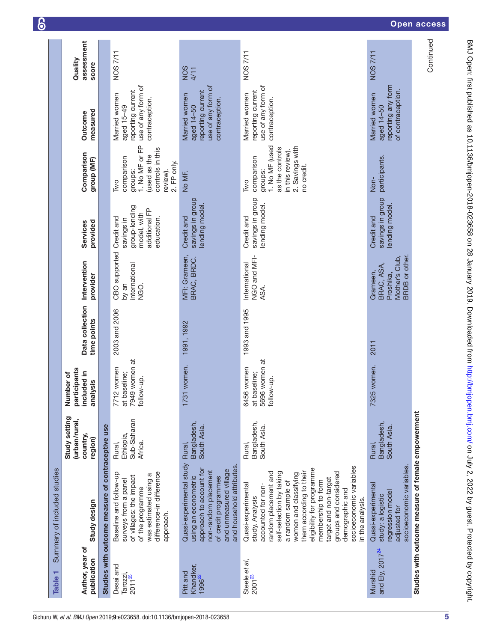<span id="page-4-0"></span>

| Table 1                                     | Summary of included studies                                                                                                                                                                                                                                                                                                                                      |                                                      |                                                                |                                             |                                                                              |                                                                           |                                                                                                                        |                                                                                          |                                |
|---------------------------------------------|------------------------------------------------------------------------------------------------------------------------------------------------------------------------------------------------------------------------------------------------------------------------------------------------------------------------------------------------------------------|------------------------------------------------------|----------------------------------------------------------------|---------------------------------------------|------------------------------------------------------------------------------|---------------------------------------------------------------------------|------------------------------------------------------------------------------------------------------------------------|------------------------------------------------------------------------------------------|--------------------------------|
| Author, year of<br>publication              | Study design                                                                                                                                                                                                                                                                                                                                                     | Study setting<br>urban/rural,<br>country,<br>region) | participants<br>included in<br>Number of<br>analysis           | Data collection Intervention<br>time points | provider                                                                     | provided<br>Services                                                      | Comparison<br>group (MF)                                                                                               | measured<br>Outcome                                                                      | assessment<br>Quality<br>score |
|                                             | Studies with outcome measure of contraceptive use                                                                                                                                                                                                                                                                                                                |                                                      |                                                                |                                             |                                                                              |                                                                           |                                                                                                                        |                                                                                          |                                |
| Desai and<br>Tarozzi,<br>2011 <sup>35</sup> | difference-in difference<br>Baseline and follow-up<br>was estimated using a<br>of villages: the impact<br>surveys from a panel<br>of the programme<br>approach.                                                                                                                                                                                                  | Sub-Saharan<br>Ethiopia,<br>Africa.<br>Rural,        | 7949 women at<br>women<br>at baseline;<br>follow-up.<br>7712   | 2003 and 2006                               | CBO supported Credit and<br>international<br>by an<br>NGO.                   | group-lending<br>additional FP<br>model, with<br>education.<br>savings in | 1. No MF or FP<br>controls in this<br>(used as the<br>comparison<br>2. FP only.<br>groups:<br>review).<br>Two          | use of any form of<br>reporting current<br>Married women<br>contraception.<br>aged 15-49 | <b>NOS 7/11</b>                |
| Khandker,<br>Pitt and<br>1996 <sup>22</sup> | Quasi-experimental study<br>and household attributes<br>approach to account for<br>and unmeasured village<br>non-random placement<br>using an econometric<br>of credit programmes                                                                                                                                                                                | Bangladesh,<br>South Asia.<br>Rural,                 | women.<br>1731                                                 | 1991, 1992                                  | MFI: Grameen,<br>BRAC, BRDC.                                                 | savings in group<br>lending model.<br>Credit and                          | No MF.                                                                                                                 | use of any form of<br>reporting current<br>Married women<br>contraception.<br>aged 14-50 | <b>NOS</b><br>4/11             |
| Steele et al,<br>2001 <sup>23</sup>         | socioeconomic variables<br>eligibility for programme<br>random placement and<br>self-selection by taking<br>them according to their<br>groups and considered<br>women and classifying<br>target and non-target<br>membership to form<br>a random sample of<br>Quasi-experimental<br>accounted for non-<br>demographic and<br>study. Analysis<br>in the analysis. | Bangladesh,<br>South Asia.<br>Rural,                 | 5696 women at<br>i women<br>at baseline;<br>follow-up.<br>6456 | 1993 and 1995                               | NGO and MFI-<br>International<br>ASA.                                        | savings in group<br>lending model.<br>Credit and                          | 1. No MF (used<br>2. Savings with<br>as the controls<br>in this review).<br>comparison<br>no credit.<br>groups:<br>Two | use of any form of<br>reporting current<br>Married women<br>contraception.               | <b>NOS 7/11</b>                |
| and Ely, 2017 <sup>24</sup><br>Murshid      | socioeconomic variables.<br>Quasi-experimental<br>regression model<br>study: a logistic<br>adjusted for                                                                                                                                                                                                                                                          | Bangladesh,<br>South Asia.<br>Rural,                 | 7325 women.                                                    | 2011                                        | <b>BRDB</b> or other<br>Mother's Club,<br>BRAC, ASA<br>Grameen,<br>Proshika, | savings in group<br>lending model.<br>Credit and                          | participants.<br>Non-                                                                                                  | reporting any form<br>of contraception.<br>Married women<br>aged 14-50                   | <b>NOS 7/11</b>                |
|                                             | Studies with outcome measure of female empowerment                                                                                                                                                                                                                                                                                                               |                                                      |                                                                |                                             |                                                                              |                                                                           |                                                                                                                        |                                                                                          |                                |
|                                             |                                                                                                                                                                                                                                                                                                                                                                  |                                                      |                                                                |                                             |                                                                              |                                                                           |                                                                                                                        |                                                                                          | Continued                      |

 $\delta$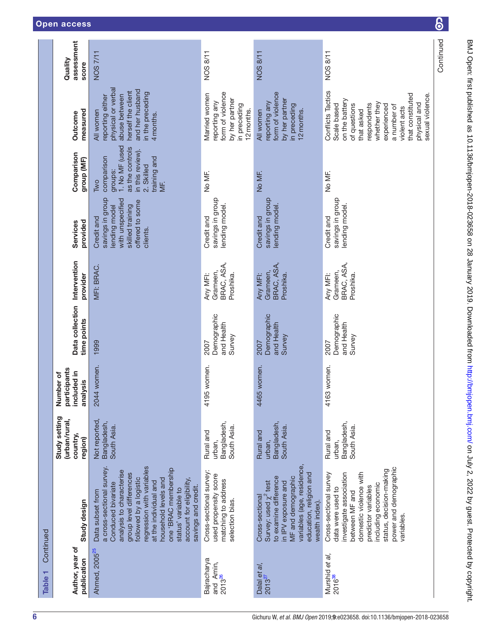| Continued<br>Table <sub>1</sub>           |                                                                                                                                                                                                                                                                                                                                      |                                                       |                                                      |                                             |                                                 |                                                                                                                        |                                                                                                                                |                                                                                                                                                                                                                       |                                |
|-------------------------------------------|--------------------------------------------------------------------------------------------------------------------------------------------------------------------------------------------------------------------------------------------------------------------------------------------------------------------------------------|-------------------------------------------------------|------------------------------------------------------|---------------------------------------------|-------------------------------------------------|------------------------------------------------------------------------------------------------------------------------|--------------------------------------------------------------------------------------------------------------------------------|-----------------------------------------------------------------------------------------------------------------------------------------------------------------------------------------------------------------------|--------------------------------|
| Author, year of<br>publication            | Study design                                                                                                                                                                                                                                                                                                                         | Study setting<br>(urban/rural,<br>country,<br>region) | participants<br>included in<br>Number of<br>analysis | Data collection Intervention<br>time points | provider                                        | provided<br>Services                                                                                                   | Comparison<br>group (MF)                                                                                                       | measured<br>Outcome                                                                                                                                                                                                   | assessment<br>Quality<br>score |
| Ahmed, 2005 <sup>25</sup>                 | a cross-sectional survey.<br>regression with variables<br>one 'BRAC membership<br>analysis to characterise<br>group level differences<br>followed by a logistic<br>household levels and<br>account for eligibility,<br>at the individual and<br>Conduced bivariate<br>savings and credit.<br>status' variable to<br>Data subset from | Not reported,<br>Bangladesh,<br>South Asia.           | 2044 women.                                          | 1999                                        | MFI: BRAC.                                      | savings in group<br>with unspecified<br>offered to some<br>skilled training<br>lending model<br>Credit and<br>clients. | 1. No MF (used<br>as the controls<br>in this review).<br>comparison<br>training and<br>2. Skilled<br>groups:<br>Two<br>\<br>∖E | physical or verbal<br>and her husband<br>herself the client<br>in the preceding<br>abuse between<br>reporting either<br>All women<br>4 months.                                                                        | NOS 7/11                       |
| <b>Bajracharya</b><br>and Amin,<br>201326 | Cross-sectional survey:<br>used propensity score<br>matching to address<br>selection bias.                                                                                                                                                                                                                                           | Bangladesh,<br>South Asia.<br>Rural and<br>urban,     | women.<br>4195                                       | Demographic<br>and Health<br>Survey<br>2007 | BRAC, ASA,<br>Grameen,<br>Proshika.<br>Any MFI: | savings in group<br>lending model.<br>Credit and                                                                       | No MF.                                                                                                                         | form of violence<br>Married women<br>by her partner<br>reporting any<br>in preceding<br>12 months.                                                                                                                    | NOS 8/11                       |
| Dalal et al,<br>$2013^{27}$               | variables (age, residence,<br>education, religion and<br>MF and demographic<br>to examine difference<br>Survey: used $\chi^2$ test<br>in IPV exposure and<br>Cross-sectional<br>wealth index).                                                                                                                                       | Bangladesh,<br>South Asia.<br>Rural and<br>urban,     | 4465 women.                                          | Demographic<br>and Health<br>Survey<br>2007 | BRAC, ASA,<br>Grameen,<br>Proshika.<br>Any MFI: | savings in group<br>lending model.<br>Credit and                                                                       | No MF.                                                                                                                         | form of violence<br>by her partner<br>reporting any<br>in preceding<br>All women<br>12 months.                                                                                                                        | NOS 8/11                       |
| Murshid et al,<br>2016 <sup>38</sup>      | power and demographic<br>status, decision-making<br>investigate association<br>domestic violence with<br>Cross-sectional survey<br>including economic<br>predictor variables<br>data were used to<br>between MF and<br>variables.                                                                                                    | Bangladesh,<br>South Asia.<br>Rural and<br>urban,     | women.<br>4163                                       | Demographic<br>and Health<br>Survey<br>2007 | BRAC, ASA,<br>Grameen,<br>Proshika.<br>Any MFI: | savings in group<br>lending model.<br>Credit and                                                                       | No MF.                                                                                                                         | Conflicts Tactics<br>that constituted<br>sexual violence.<br>on the battery<br>whether they<br>respondents<br>physical and<br>Scale based<br>of questions<br>experienced<br>a number of<br>violent acts<br>that asked | NOS 8/11                       |
|                                           |                                                                                                                                                                                                                                                                                                                                      |                                                       |                                                      |                                             |                                                 |                                                                                                                        |                                                                                                                                |                                                                                                                                                                                                                       | Continued                      |

BMJ Open: first published as 10.1136/bmjopen-2018-02368 on 28 January 2019. Downloaded from <http://bmjopen.bmj.com/> on July 2, 2022 by guest. Protected by copyright.

BMJ Open: first published as 10.1136/bmjopen-2018-023658 on 28 January 2019. Downloaded from http://bmjopen.bmj.com/ on July 2, 2022 by guest. Protected by copyright.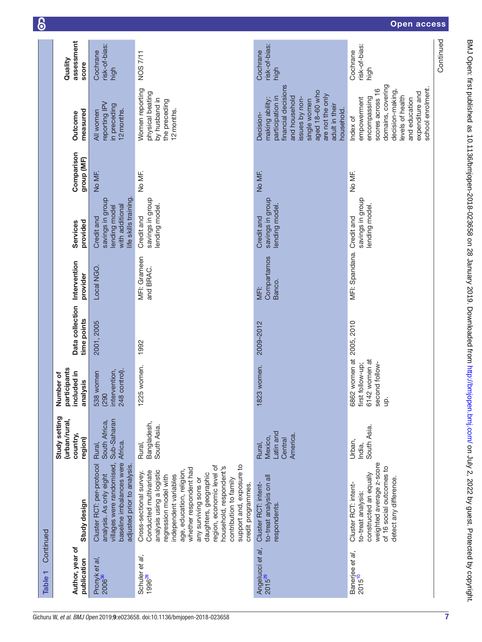| Continued<br>Table <sub>1</sub>                |                                                                                                                                                                                                                                                                                                                                                                               |                                                       |                                                                            |                                             |                               |                                                                                             |                          |                                                                                                                                                                                                  |                                   |
|------------------------------------------------|-------------------------------------------------------------------------------------------------------------------------------------------------------------------------------------------------------------------------------------------------------------------------------------------------------------------------------------------------------------------------------|-------------------------------------------------------|----------------------------------------------------------------------------|---------------------------------------------|-------------------------------|---------------------------------------------------------------------------------------------|--------------------------|--------------------------------------------------------------------------------------------------------------------------------------------------------------------------------------------------|-----------------------------------|
| Author, year of<br>publication                 | Study design                                                                                                                                                                                                                                                                                                                                                                  | Study setting<br>urban/rural,<br>country,<br>region)  | participants<br>included in<br>Number of<br>analysis                       | Data collection Intervention<br>time points | provider                      | provided<br>Services                                                                        | Comparison<br>group (MF) | measured<br>Outcome                                                                                                                                                                              | assessment<br>Quality<br>score    |
| Pronyk et al,<br>2006 <sup>36</sup>            | baseline imbalances were<br>villages were randomised,<br>Cluster RCT: per-protocol<br>adjusted prior to analysis.<br>analysis. As only eight                                                                                                                                                                                                                                  | Sub-Saharan<br>South Africa,<br>Africa.<br>Rural,     | 248 control).<br>intervention,<br>women<br>(290)<br>538                    | 2001, 2005                                  | Local NGO.                    | life skills training.<br>savings in group<br>with additional<br>lending model<br>Credit and | No MF.                   | reporting IPV<br>in preceding<br>12 months.<br>All women                                                                                                                                         | risk-of-bias:<br>Cochrane<br>high |
| Schuler et al,<br>1996 <sup>28</sup>           | support and, exposure to<br>region, economic level of<br>household, respondent's<br>whether respondent had<br>age, education, religion,<br>analysis using a logistic<br>Conducted multivariate<br>Cross-sectional survey.<br>daughters, geographic<br>independent variables<br>regression model with<br>contribution to family<br>any surviving sons or<br>credit programmes. | Bangladesh,<br>South Asia.<br>Rural,                  | 5 women.<br>122                                                            | 1992                                        | MFI: Grameen<br>and BRAC.     | savings in group<br>lending model.<br>Credit and                                            | No MF.                   | Women reporting<br>physical beating<br>by husband in<br>the preceding<br>12 months.                                                                                                              | <b>NOS 7/11</b>                   |
| Angelucci et al,<br>$2015^{29}$                | to-treat analysis on all<br>Cluster RCT: intent-<br>respondents.                                                                                                                                                                                                                                                                                                              | Latin and<br>America.<br>Mexico,<br>Central<br>Rural, | 1823 women.                                                                | 2009-2012                                   | Compartamos<br>Banco.<br>MFI: | savings in group<br>lending model.<br>Credit and                                            | No MF.                   | financial decisions<br>aged 18-60 who<br>are not the only<br>participation in<br>and household<br>issues by non-<br>making ability:<br>single women<br>adult in their<br>household.<br>Decision- | risk-of-bias:<br>Cochrane<br>high |
| Banerjee e <i>t al</i> ,<br>2015 <sup>10</sup> | weighted average z-score<br>of 16 social outcomes to<br>constructed an equally<br>detect any difference.<br>Cluster RCT: intent-<br>to-treat analysis:                                                                                                                                                                                                                        | South Asia.<br>Urban,<br>India,                       | 6862 women at<br>6142 women at<br>second follow-<br>first follow-up;<br>g. | 2005, 2010                                  | MFI: Spandana. Credit and     | savings in group<br>lending model.                                                          | No MF.                   | domains, covering<br>school enrolment.<br>scores across 16<br>decision-making,<br>expenditure and<br>levels of health<br>encompassing<br>empowerment<br>and education<br>Index of                | risk-of-bias:<br>Cochrane<br>high |
|                                                |                                                                                                                                                                                                                                                                                                                                                                               |                                                       |                                                                            |                                             |                               |                                                                                             |                          |                                                                                                                                                                                                  | Continued                         |

 $\epsilon$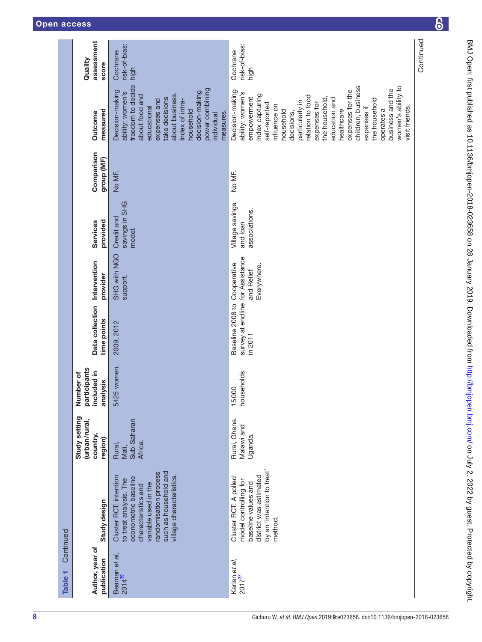| Table <sub>1</sub>             | Continued                                                                                                                                                                                            |                                                       |                                                      |                                                                             |                           |                                              |                          |                                                                                                                                                                                                                                                                                                                                                                                               |                                   |
|--------------------------------|------------------------------------------------------------------------------------------------------------------------------------------------------------------------------------------------------|-------------------------------------------------------|------------------------------------------------------|-----------------------------------------------------------------------------|---------------------------|----------------------------------------------|--------------------------|-----------------------------------------------------------------------------------------------------------------------------------------------------------------------------------------------------------------------------------------------------------------------------------------------------------------------------------------------------------------------------------------------|-----------------------------------|
| Author, year of<br>publication | Study design                                                                                                                                                                                         | Study setting<br>(urban/rural,<br>country,<br>region) | participants<br>included in<br>Number of<br>analysis | Data collection Intervention<br>time points                                 | provider                  | provided<br>Services                         | Comparison<br>group (MF) | measured<br>Outcome                                                                                                                                                                                                                                                                                                                                                                           | assessment<br>Quality<br>score    |
| Beaman et al,<br>$2014^{39}$   | such as household and<br>randomisation process<br>Cluster RCT: intention<br>village characteristics<br>econometric baseline<br>to treat analysis. The<br>variable used in the<br>characteristics and | Sub-Saharan<br>Africa.<br>Rural,<br>Mali,             | 5 women.<br>542                                      | 2009, 2012                                                                  | SHG with NGO<br>support.  | savings in SHG<br>Credit and<br>model.       | No MF.                   | freedom to decide<br>power combining<br>Decision-making<br>decision-making<br>ability: women's<br>about business.<br>about food and<br>take decisions<br>expenses and<br>Index of intra-<br>educational<br>household<br>measures.<br>individual                                                                                                                                               | risk-of-bias:<br>Cochrane<br>high |
| Karlan et al,<br>$2017^{37}$   | by an 'intention to treat'<br>district was estimated<br>Cluster RCT: A polled<br>model controlling for<br>baseline values and<br>method.                                                             | Rural, Ghana,<br>Malawi and<br>Uganda.                | households.<br>15000                                 | survey at endline for Assistance<br>Baseline 2008 to Cooperative<br>in 2011 | Everywhere.<br>and Relief | Village savings<br>associations.<br>and loan | No MF.                   | children, business<br>women's ability to<br>business and the<br>Decision-making<br>expenses for the<br>ability: women's<br>index capturing<br>relation to food<br>empowerment<br>the household,<br>education and<br>the household<br>particularly in<br>expenses for<br>self-reported<br>influence on<br>expenses if<br>visit friends.<br>operates a<br>healthcare<br>household<br>decisions, | risk-of-bias:<br>Cochrane<br>high |
|                                |                                                                                                                                                                                                      |                                                       |                                                      |                                                                             |                           |                                              |                          |                                                                                                                                                                                                                                                                                                                                                                                               | Continued                         |

 $\overline{6}$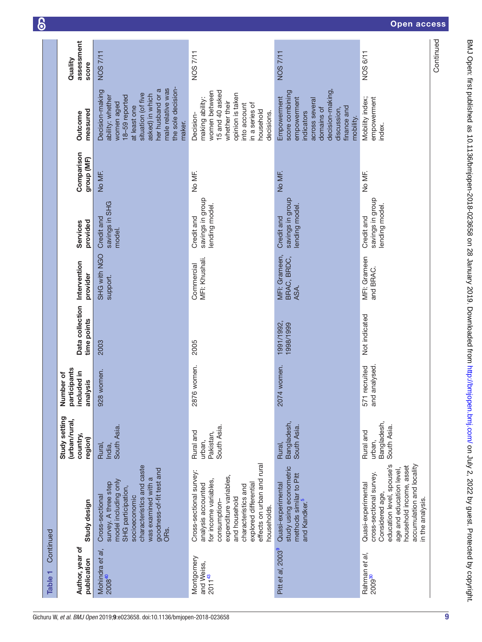| ၆ |                    |                                                                              |                                                                                                                                                                                                       |                                                                                                                                                                                                                               |                                                                                                                                                            | Open access                                                                                                                                                                                           |           |
|---|--------------------|------------------------------------------------------------------------------|-------------------------------------------------------------------------------------------------------------------------------------------------------------------------------------------------------|-------------------------------------------------------------------------------------------------------------------------------------------------------------------------------------------------------------------------------|------------------------------------------------------------------------------------------------------------------------------------------------------------|-------------------------------------------------------------------------------------------------------------------------------------------------------------------------------------------------------|-----------|
|   |                    | assessment<br>Quality<br>score                                               | <b>NOS 7/11</b>                                                                                                                                                                                       | <b>NOS 7/11</b>                                                                                                                                                                                                               | <b>NOS 7/11</b>                                                                                                                                            | NOS 6/11                                                                                                                                                                                              | Continued |
|   |                    | measured<br>Outcome                                                          | the sole decision-<br>male relative was<br>her husband or a<br>Decision-making<br>situation (of five<br>asked) in which<br>18-59 reported<br>ability: whether<br>women aged<br>at least one<br>maker. | 15 and 40 asked<br>women between<br>opinion is taken<br>making ability:<br>whether their<br>in a series of<br>into account<br>household<br>decisions.<br>Decision-                                                            | decision-making,<br>score combining<br>Empowerment<br>empowerment<br>across several<br>finance and<br>domains of<br>discussion,<br>indicators<br>mobility. | empowerment<br>Mobility index;<br>index.                                                                                                                                                              |           |
|   |                    | Comparison<br>group (MF)                                                     | No MF.                                                                                                                                                                                                | No MF.                                                                                                                                                                                                                        | No MF.                                                                                                                                                     | No MF.                                                                                                                                                                                                |           |
|   |                    | provided<br>Services                                                         | savings in SHG<br>Credit and<br>model.                                                                                                                                                                | savings in group<br>lending model.<br>Credit and                                                                                                                                                                              | savings in group<br>lending model.<br>Credit and                                                                                                           | savings in group<br>lending model.<br>Credit and                                                                                                                                                      |           |
|   |                    | provider                                                                     | SHG with NGO<br>support.                                                                                                                                                                              | MFI: Khushali.<br>Commercial                                                                                                                                                                                                  | MFI: Grameen,<br>BRAC, BRDC,<br>ASA.                                                                                                                       | MFI: Grameen<br>and BRAC.                                                                                                                                                                             |           |
|   |                    | Data collection Intervention<br>time points                                  | 2003                                                                                                                                                                                                  | 2005                                                                                                                                                                                                                          | 1991/1992,<br>1998/1999                                                                                                                                    | Not indicated                                                                                                                                                                                         |           |
|   |                    | participants<br>included in<br>$\overline{\mathbf{c}}$<br>Number<br>analysis | 928 women.                                                                                                                                                                                            | 2876 women.                                                                                                                                                                                                                   | 2074 women.                                                                                                                                                | and analysed.<br>571 recruited                                                                                                                                                                        |           |
|   |                    | Study setting<br>(urban/rural,<br>country,<br>region)                        | South Asia.<br>Rural,<br>India,                                                                                                                                                                       | South Asia.<br>Rural and<br>Pakistan,<br>urban,                                                                                                                                                                               | Bangladesh,<br>South Asia.<br>Rural,                                                                                                                       | Bangladesh,<br>South Asia.<br>Rural and<br>urban,                                                                                                                                                     |           |
|   | Continued          | Study design                                                                 | characteristics and caste<br>goodness-of-fit test and<br>was examined with a<br>model including only<br>survey. A three step<br>SHG participation,<br>Cross-sectional<br>socioeconomic<br>ORS.        | effects on urban and rural<br>Cross-sectional survey:<br>expenditure variables,<br>for income variables<br>explored differential<br>analysis accounted<br>characteristics and<br>and household<br>consumption-<br>households. | study using econometric<br>methods similar to Pitt<br>Quasi-experimental<br>and Kandker. <sup>5</sup>                                                      | education level, spouse's<br>accumulation and locality<br>household income, asset<br>age and education level,<br>cross-sectional survey.<br>Quasi-experimental<br>Considered age,<br>in the analysis. |           |
|   | Table <sub>1</sub> | Author, year of<br>publication                                               | Mohindra et al,<br>$2008^{40}$                                                                                                                                                                        | Montgomery<br>and Weiss,<br>2011 <sup>43</sup>                                                                                                                                                                                | Pitt et al, 2003 <sup>9</sup>                                                                                                                              | Rahman e <i>t al,</i><br>2009 <sup>30</sup>                                                                                                                                                           |           |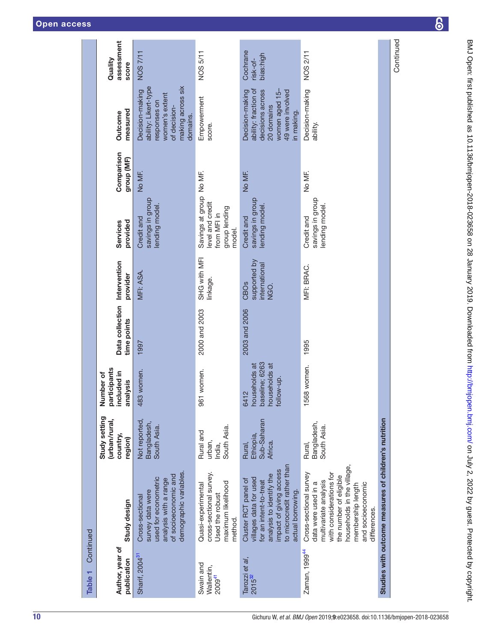| Continued<br>Table <sub>1</sub>        |                                                                                                                                                                                                                     |                                                      |                                                                        |                                             |                                                      |                                                                                      |                          |                                                                                                                               |                                   |
|----------------------------------------|---------------------------------------------------------------------------------------------------------------------------------------------------------------------------------------------------------------------|------------------------------------------------------|------------------------------------------------------------------------|---------------------------------------------|------------------------------------------------------|--------------------------------------------------------------------------------------|--------------------------|-------------------------------------------------------------------------------------------------------------------------------|-----------------------------------|
| Author, year of<br>publication         | Study design                                                                                                                                                                                                        | Study setting<br>urban/rural,<br>country,<br>region) | participants<br>included in<br>Number of<br>analysis                   | Data collection Intervention<br>time points | provider                                             | Services<br>provided                                                                 | Comparison<br>group (MF) | measured<br><b>Outcome</b>                                                                                                    | assessment<br>Quality<br>score    |
| Sharif, 2004 <sup>31</sup>             | demographic variables.<br>of socioeconomic and<br>used for econometric<br>analysis with a range<br>survey data were<br>Cross-sectional                                                                              | Not reported<br>Bangladesh,<br>South Asia.           | 483 women.                                                             | 1997                                        | MFI: ASA.                                            | savings in group<br>lending model.<br>Credit and                                     | No MF.                   | making across six<br>ability: Likert-type<br>Decision-making<br>women's extent<br>responses on<br>of decision-<br>domains.    | NOS 7/11                          |
| Swain and<br>Wallentin,<br>$2009^{41}$ | cross-sectional survey.<br>maximum likelihood<br>Quasi-experimental<br>Used the robust<br>method.                                                                                                                   | South Asia.<br>Rural and<br>urban,<br>India,         | 961 women.                                                             | 2000 and 2003                               | SHG with MFI<br>linkage.                             | Savings at group No MF.<br>evel and credit<br>group lending<br>from MFI in<br>model. |                          | Empowerment<br>score.                                                                                                         | NOS 5/11                          |
| Tarozzi et al,<br>201532               | to microcredit rather than<br>impact of giving access<br>analysis to identify the<br>villages data for used<br>Cluster RCT panel of<br>for an intent-to-treat<br>actual borrowing.                                  | Sub-Saharan<br>Ethiopia,<br>Africa.<br>Rural,        | baseline; 6263<br>households at<br>households at<br>follow-up.<br>6412 | 2003 and 2006                               | supported by<br>international<br><b>CBOs</b><br>NGO. | savings in group<br>lending model.<br>Credit and                                     | No MF.                   | ability: fraction of<br>women aged 15-<br>decisions across<br>Decision-making<br>49 were involved<br>20 domains<br>in making. | Cochrane<br>bias:high<br>risk-of- |
| Zaman, 1999 <sup>44</sup>              | households in the village,<br>Cross-sectional survey<br>with considerations for<br>the number of eligible<br>multivariate analysis<br>data were used in a<br>and socioeconomic<br>membership length<br>differences. | Bangladesh,<br>South Asia.<br>Rural,                 | 1568 women.                                                            | 1995                                        | MFI: BRAC.                                           | savings in group<br>lending model.<br>Credit and                                     | No MF.                   | Decision-making<br>ability.                                                                                                   | NOS 2/11                          |
|                                        | Studies with outcome measures of children's nutrition                                                                                                                                                               |                                                      |                                                                        |                                             |                                                      |                                                                                      |                          |                                                                                                                               |                                   |
|                                        |                                                                                                                                                                                                                     |                                                      |                                                                        |                                             |                                                      |                                                                                      |                          |                                                                                                                               | Continued                         |

 $\overline{6}$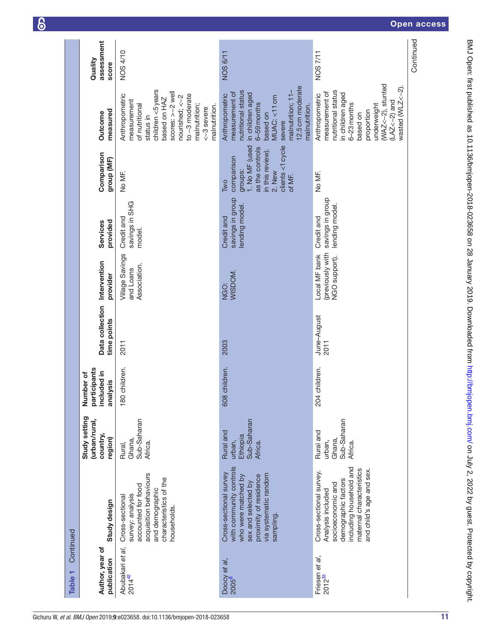| Continued<br>Table <sub>1</sub>      |                                                                                                                                                                             |                                                           |                                                      |                                             |                                                     |                                                  |                                                                                                                               |                                                                                                                                                                                                               |                                |
|--------------------------------------|-----------------------------------------------------------------------------------------------------------------------------------------------------------------------------|-----------------------------------------------------------|------------------------------------------------------|---------------------------------------------|-----------------------------------------------------|--------------------------------------------------|-------------------------------------------------------------------------------------------------------------------------------|---------------------------------------------------------------------------------------------------------------------------------------------------------------------------------------------------------------|--------------------------------|
| Author, year of<br>publication       | Study design                                                                                                                                                                | Study setting<br>urban/rural,<br>country,<br>region)      | participants<br>included in<br>Number of<br>analysis | Data collection Intervention<br>time points | provider                                            | provided<br>Services                             | Comparison<br>group (MF)                                                                                                      | measured<br>Outcome                                                                                                                                                                                           | assessment<br>Quality<br>score |
| Abubakari et al,<br>$2014^{42}$      | acquisition behaviours<br>characteristics of the<br>accounted for food<br>and demographic<br>survey: analysis<br>Cross-sectional<br>households.                             | Sub-Saharan<br>Ghana,<br>Africa.<br>Rural,                | children.<br>180                                     | 2011                                        | <b>Village Savings</b><br>Association.<br>and Loans | savings in SHG<br>Credit and<br>model.           | No MF.                                                                                                                        | children <5years<br>scores: >-2 well<br>Anthropometric<br>$to -3$ moderate<br>nourished; <- 2<br>based on HAZ<br>measurement<br>malnutrition;<br>of nutritional<br>malnutrition.<br>$<-3$ severe<br>status in | NOS 4/10                       |
| Doocy et al,<br>2005 <sup>8</sup>    | with community controls<br>Cross-sectional survey<br>via systematic random<br>who were matched by<br>proximity of residence<br>sex and selected by<br>sampling.             | Sub-Saharan<br>Rural and<br>Ethiopia<br>urban,<br>Africa. | children.<br>608                                     | 2003                                        | WISDOM.<br>NGO:                                     | savings in group<br>lending model.<br>Credit and | clients <1 cycle<br>1. No MF (used<br>as the controls<br>in this review).<br>comparison<br>groups:<br>2. New<br>of MF.<br>Two | 12.5 cm moderate<br>nutritional status<br>malnutrition; 11-<br>measurement of<br>in children aged<br>Anthropometric<br>MUAC: <11 cm<br>6-59 months<br>malnutrition.<br>based on<br>severe                     | NOS 6/11                       |
| Friesen et al,<br>2012 <sup>33</sup> | including household and<br>maternal characteristics<br>and child's age and sex.<br>Cross-sectional survey.<br>demographic factors<br>socioeconomic and<br>Analysis included | Sub-Saharan<br>Rural and<br>Ghana,<br>urban,<br>Africa.   | children.<br>204                                     | June-August<br>2011                         | (previously with<br>Local MF bank<br>NGO support).  | savings in group<br>lending model.<br>Credit and | No MF.                                                                                                                        | $(WAZ<-2)$ , stunted<br>wasted (WLZ<-2)<br>nutritional status<br>measurement of<br>in children aged<br>Anthropometric<br>$(LAZ<-2)$ and<br>6-23 months<br>underweight<br>proportion<br>based on               | <b>NOS 7/11</b>                |
|                                      |                                                                                                                                                                             |                                                           |                                                      |                                             |                                                     |                                                  |                                                                                                                               |                                                                                                                                                                                                               | Continued                      |

 $\epsilon$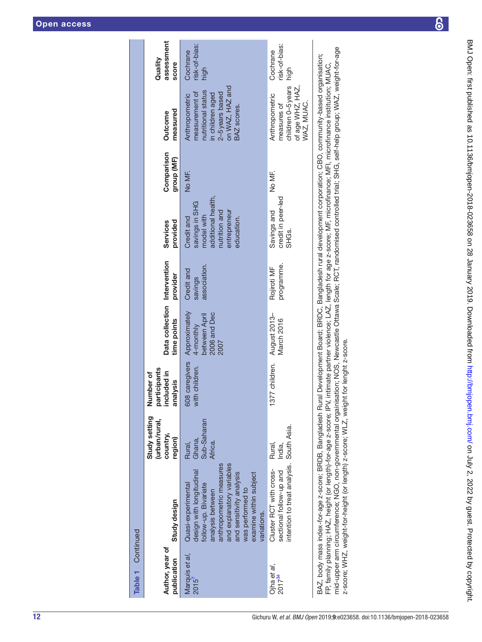| Table 1 Continued                           |                                                                                                                                                                                                                                                                                                                                                                                                                                                                                                                                                                                                                               |                                                       |                                                      |                                                                     |                                       |                                                                                                                 |                          |                                                                                                                                 |                                   |
|---------------------------------------------|-------------------------------------------------------------------------------------------------------------------------------------------------------------------------------------------------------------------------------------------------------------------------------------------------------------------------------------------------------------------------------------------------------------------------------------------------------------------------------------------------------------------------------------------------------------------------------------------------------------------------------|-------------------------------------------------------|------------------------------------------------------|---------------------------------------------------------------------|---------------------------------------|-----------------------------------------------------------------------------------------------------------------|--------------------------|---------------------------------------------------------------------------------------------------------------------------------|-----------------------------------|
| Author, year of<br>publication              | Study design                                                                                                                                                                                                                                                                                                                                                                                                                                                                                                                                                                                                                  | Study setting<br>(urban/rural,<br>country,<br>region) | participants<br>included in<br>Number of<br>analysis | Data collection Intervention<br>time points                         | provider                              | provided<br>Services                                                                                            | Comparison<br>group (MF) | measured<br>Outcome                                                                                                             | assessment<br>Quality<br>score    |
| Marquis et <i>al</i> ,<br>2015 <sup>7</sup> | and explanatory variables<br>anthropometric measures<br>design with longitudinal<br>and sensitivity analysis<br>examine within subject<br>follow-up. Bivariate<br>Quasi-experimental<br>was performed to<br>analysis between<br>variations.                                                                                                                                                                                                                                                                                                                                                                                   | Sub-Saharan<br>Ghana,<br>Rural,<br>Africa.            | 608 caregivers<br>with children.                     | Approximately<br>2006 and Dec<br>between April<br>4-monthly<br>2007 | association.<br>Credit and<br>savings | additional health,<br>savings in SHG<br>entrepreneur<br>nutrition and<br>model with<br>education.<br>Credit and | No MF.                   | on WAZ, HAZ and<br>nutritional status<br>measurement of<br>2-5 years based<br>in children aged<br>Anthropometric<br>BAZ scores. | risk-of-bias:<br>Cochrane<br>high |
| Ojha et al,<br>$2017^{34}$                  | intention to treat analysis.<br>Cluster RCT with cross-<br>sectional follow-up and                                                                                                                                                                                                                                                                                                                                                                                                                                                                                                                                            | South Asia.<br>Rural,<br>India,                       | 1377 children.                                       | August 2013-<br>March 2016                                          | programme.<br>Rojiroti MF             | credit in peer-led<br>Savings and<br>SHGs.                                                                      | No MF.                   | children 0-5years<br>of age WHZ, HAZ,<br>Anthropometric<br>WAZ, MUAC.<br>measures of                                            | risk-of-bias:<br>Cochrane<br>high |
|                                             | mid-upper arm circumference; NGO, non-governmental orgainisation; NOS, Newcastle Ottawa Scale; RCT, randomised controlled trial; SHG, self-help group; WAZ, weight-for-age<br>BAZ, body mass index-for-age z-score; BRDB, Bangladesh Rural Development Board; BRDC, Bangladesh rural development corporation; CBO, community-based organisation;<br>FP, family planning; HAZ, height (or length)-for-age z-score; IPV, intimate partner violence; LAZ, length for age z-score; MF, microfinance; MFI, microfinance institution; MUAC,<br>z-score; WHZ, weight-for-height (or length) z-score; WLZ, weight for lenght z-score. |                                                       |                                                      |                                                                     |                                       |                                                                                                                 |                          |                                                                                                                                 |                                   |
|                                             |                                                                                                                                                                                                                                                                                                                                                                                                                                                                                                                                                                                                                               |                                                       |                                                      |                                                                     |                                       |                                                                                                                 |                          |                                                                                                                                 |                                   |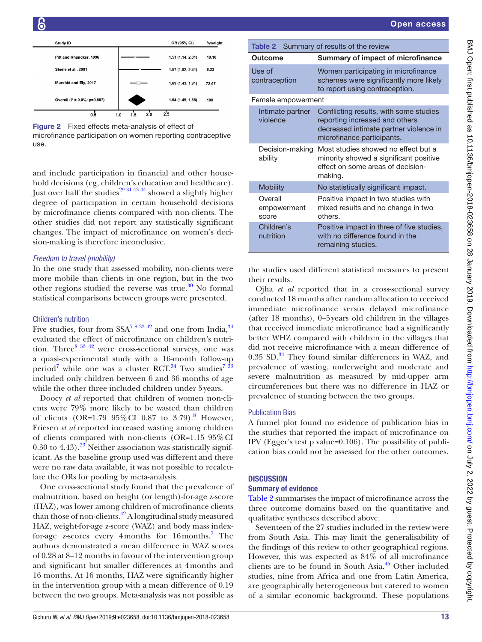

<span id="page-12-0"></span>

and include participation in financial and other household decisions (eg, children's education and healthcare). Just over half the studies<sup>[29 31 43 44](#page-16-4)</sup> showed a slightly higher degree of participation in certain household decisions by microfinance clients compared with non-clients. The other studies did not report any statistically significant changes. The impact of microfinance on women's decision-making is therefore inconclusive.

## *Freedom to travel (mobility)*

In the one study that assessed mobility, non-clients were more mobile than clients in one region, but in the two other regions studied the reverse was true. $30$  No formal statistical comparisons between groups were presented.

#### Children's nutrition

Five studies, four from  $SSA^{78}$  33 42 and one from India,  $34$ evaluated the effect of microfinance on children's nutrition. Three $8^{83342}$  were cross-sectional surveys, one was a quasi-experimental study with a 16-month follow-up period<sup>[7](#page-15-6)</sup> while one was a cluster RCT. $^{34}$  Two studies<sup>7</sup>  $^{33}$ included only children between 6 and 36 months of age while the other three included children under 5years.

Doocy *et al* reported that children of women non-clients were 79% more likely to be wasted than children of clients (OR=1.79  $95\%$  CI 0.[8](#page-15-7)7 to 3.79).<sup>8</sup> However, Friesen *et al* reported increased wasting among children of clients compared with non-clients (OR=1.15 95%CI  $0.30$  to 4.43).<sup>[33](#page-16-15)</sup> Neither association was statistically significant. As the baseline group used was different and there were no raw data available, it was not possible to recalculate the ORs for pooling by meta-analysis.

One cross-sectional study found that the prevalence of malnutrition, based on height (or length)-for-age z-score (HAZ), was lower among children of microfinance clients than those of non-clients. $42$  A longitudinal study measured HAZ, weight-for-age z-score (WAZ) and body mass indexfor-age z-scores every 4 months for 16 months.<sup>7</sup> The authors demonstrated a mean difference in WAZ scores of 0.28 at 8–12 months in favour of the intervention group and significant but smaller differences at 4months and 16 months. At 16 months, HAZ were significantly higher in the intervention group with a mean difference of 0.19 between the two groups. Meta-analysis was not possible as

<span id="page-12-1"></span>

| Table 2                         | Summary of results of the review                                                                                                                 |
|---------------------------------|--------------------------------------------------------------------------------------------------------------------------------------------------|
| Outcome                         | Summary of impact of microfinance                                                                                                                |
| Use of<br>contraception         | Women participating in microfinance<br>schemes were significantly more likely<br>to report using contraception.                                  |
| Female empowerment              |                                                                                                                                                  |
| Intimate partner<br>violence    | Conflicting results, with some studies<br>reporting increased and others<br>decreased intimate partner violence in<br>microfinance participants. |
| Decision-making<br>ability      | Most studies showed no effect but a<br>minority showed a significant positive<br>effect on some areas of decision-<br>making.                    |
| <b>Mobility</b>                 | No statistically significant impact.                                                                                                             |
| Overall<br>empowerment<br>score | Positive impact in two studies with<br>mixed results and no change in two<br>others.                                                             |
| Children's<br>nutrition         | Positive impact in three of five studies,<br>with no difference found in the<br>remaining studies.                                               |

the studies used different statistical measures to present their results.

Ojha *et al* reported that in a cross-sectional survey conducted 18 months after random allocation to received immediate microfinance versus delayed microfinance (after 18 months), 0–5years old children in the villages that received immediate microfinance had a significantly better WHZ compared with children in the villages that did not receive microfinance with a mean difference of  $0.35$  SD. $34$  They found similar differences in WAZ, and prevalence of wasting, underweight and moderate and severe malnutrition as measured by mid-upper arm circumferences but there was no difference in HAZ or prevalence of stunting between the two groups.

# Publication Bias

A funnel plot found no evidence of publication bias in the studies that reported the impact of microfinance on IPV (Egger's test p value=0.106). The possibility of publication bias could not be assessed for the other outcomes.

# **DISCUSSION**

# Summary of evidence

[Table](#page-12-1) 2 summarises the impact of microfinance across the three outcome domains based on the quantitative and qualitative syntheses described above.

Seventeen of the 27 studies included in the review were from South Asia. This may limit the generalisability of the findings of this review to other geographical regions. However, this was expected as 84% of all microfinance clients are to be found in South Asia.<sup>[45](#page-16-17)</sup> Other included studies, nine from Africa and one from Latin America, are geographically heterogeneous but catered to women of a similar economic background. These populations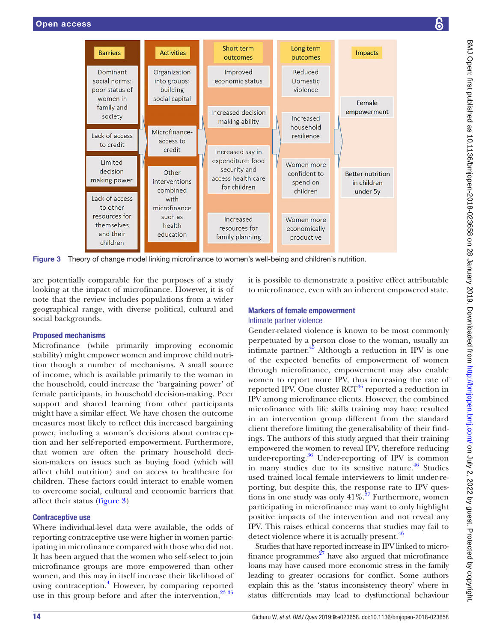

<span id="page-13-0"></span>Figure 3 Theory of change model linking microfinance to women's well-being and children's nutrition.

are potentially comparable for the purposes of a study looking at the impact of microfinance. However, it is of note that the review includes populations from a wider geographical range, with diverse political, cultural and social backgrounds.

# Proposed mechanisms

Microfinance (while primarily improving economic stability) might empower women and improve child nutrition though a number of mechanisms. A small source of income, which is available primarily to the woman in the household, could increase the 'bargaining power' of female participants, in household decision-making. Peer support and shared learning from other participants might have a similar effect. We have chosen the outcome measures most likely to reflect this increased bargaining power, including a woman's decisions about contraception and her self-reported empowerment. Furthermore, that women are often the primary household decision-makers on issues such as buying food (which will affect child nutrition) and on access to healthcare for children. These factors could interact to enable women to overcome social, cultural and economic barriers that affect their status ([figure](#page-13-0) 3)

# Contraceptive use

Where individual-level data were available, the odds of reporting contraceptive use were higher in women participating in microfinance compared with those who did not. It has been argued that the women who self-select to join microfinance groups are more empowered than other women, and this may in itself increase their likelihood of using contraception.<sup>4</sup> However, by comparing reported use in this group before and after the intervention, $^{23\,35}$ 

it is possible to demonstrate a positive effect attributable to microfinance, even with an inherent empowered state.

#### Markers of female empowerment Intimate partner violence

Gender-related violence is known to be most commonly perpetuated by a person close to the woman, usually an intimate partner. $45$  Although a reduction in IPV is one of the expected benefits of empowerment of women through microfinance, empowerment may also enable women to report more IPV, thus increasing the rate of reported IPV. One cluster  $RCT<sup>36</sup>$  reported a reduction in IPV among microfinance clients. However, the combined microfinance with life skills training may have resulted in an intervention group different from the standard client therefore limiting the generalisability of their findings. The authors of this study argued that their training empowered the women to reveal IPV, therefore reducing under-reporting.<sup>36</sup> Under-reporting of IPV is common in many studies due to its sensitive nature. $46$  Studies used trained local female interviewers to limit under-reporting, but despite this, the response rate to IPV questions in one study was only  $41\%$ <sup>27</sup> Furthermore, women participating in microfinance may want to only highlight positive impacts of the intervention and not reveal any IPV. This raises ethical concerns that studies may fail to detect violence where it is actually present.<sup>46</sup>

Studies that have reported increase in IPV linked to microfinance programmes $^{27}$  have also argued that microfinance loans may have caused more economic stress in the family leading to greater occasions for conflict. Some authors explain this as the 'status inconsistency theory' where in status differentials may lead to dysfunctional behaviour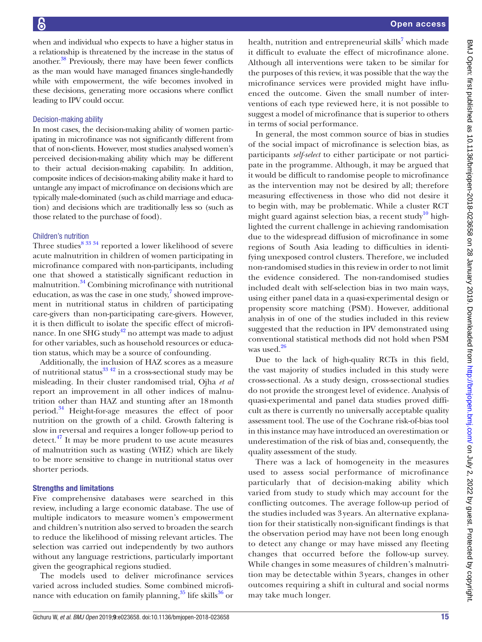when and individual who expects to have a higher status in a relationship is threatened by the increase in the status of another.<sup>38</sup> Previously, there may have been fewer conflicts as the man would have managed finances single-handedly while with empowerment, the wife becomes involved in these decisions, generating more occasions where conflict leading to IPV could occur.

## Decision-making ability

In most cases, the decision-making ability of women participating in microfinance was not significantly different from that of non-clients. However, most studies analysed women's perceived decision-making ability which may be different to their actual decision-making capability. In addition, composite indices of decision-making ability make it hard to untangle any impact of microfinance on decisions which are typically male-dominated (such as child marriage and education) and decisions which are traditionally less so (such as those related to the purchase of food).

# Children's nutrition

Three studies<sup>8 33 34</sup> reported a lower likelihood of severe acute malnutrition in children of women participating in microfinance compared with non-participants, including one that showed a statistically significant reduction in malnutrition.<sup>34</sup> Combining microfinance with nutritional education, as was the case in one study, $\frac{7}{3}$  showed improvement in nutritional status in children of participating care-givers than non-participating care-givers. However, it is then difficult to isolate the specific effect of microfinance. In one SHG study<sup>42</sup> no attempt was made to adjust for other variables, such as household resources or education status, which may be a source of confounding.

Additionally, the inclusion of HAZ scores as a measure of nutritional status $^{33}$ <sup>42</sup> in a cross-sectional study may be misleading. In their cluster randomised trial, Ojha *et al* report an improvement in all other indices of malnutrition other than HAZ and stunting after an 18month period[.34](#page-16-16) Height-for-age measures the effect of poor nutrition on the growth of a child. Growth faltering is slow in reversal and requires a longer follow-up period to detect. $47$  It may be more prudent to use acute measures of malnutrition such as wasting (WHZ) which are likely to be more sensitive to change in nutritional status over shorter periods.

# Strengths and limitations

Five comprehensive databases were searched in this review, including a large economic database. The use of multiple indicators to measure women's empowerment and children's nutrition also served to broaden the search to reduce the likelihood of missing relevant articles. The selection was carried out independently by two authors without any language restrictions, particularly important given the geographical regions studied.

The models used to deliver microfinance services varied across included studies. Some combined microfinance with education on family planning, $^{35}$  life skills $^{36}$  or

health, nutrition and entrepreneurial skills<sup>7</sup> which made it difficult to evaluate the effect of microfinance alone. Although all interventions were taken to be similar for the purposes of this review, it was possible that the way the microfinance services were provided might have influenced the outcome. Given the small number of interventions of each type reviewed here, it is not possible to suggest a model of microfinance that is superior to others in terms of social performance.

In general, the most common source of bias in studies of the social impact of microfinance is selection bias, as participants *self-select* to either participate or not participate in the programme. Although, it may be argued that it would be difficult to randomise people to microfinance as the intervention may not be desired by all; therefore measuring effectiveness in those who did not desire it to begin with, may be problematic. While a cluster RCT might guard against selection bias, a recent study<sup>[10](#page-15-9)</sup> highlighted the current challenge in achieving randomisation due to the widespread diffusion of microfinance in some regions of South Asia leading to difficulties in identifying unexposed control clusters. Therefore, we included non-randomised studies in this review in order to not limit the evidence considered. The non-randomised studies included dealt with self-selection bias in two main ways, using either panel data in a quasi-experimental design or propensity score matching (PSM). However, additional analysis in of one of the studies included in this review suggested that the reduction in IPV demonstrated using conventional statistical methods did not hold when PSM was used.<sup>[26](#page-15-20)</sup>

Due to the lack of high-quality RCTs in this field, the vast majority of studies included in this study were cross-sectional. As a study design, cross-sectional studies do not provide the strongest level of evidence. Analysis of quasi-experimental and panel data studies proved difficult as there is currently no universally acceptable quality assessment tool. The use of the Cochrane risk-of-bias tool in this instance may have introduced an overestimation or underestimation of the risk of bias and, consequently, the quality assessment of the study.

There was a lack of homogeneity in the measures used to assess social performance of microfinance particularly that of decision-making ability which varied from study to study which may account for the conflicting outcomes. The average follow-up period of the studies included was 3 years. An alternative explanation for their statistically non-significant findings is that the observation period may have not been long enough to detect any change or may have missed any fleeting changes that occurred before the follow-up survey. While changes in some measures of children's malnutrition may be detectable within 3 years, changes in other outcomes requiring a shift in cultural and social norms may take much longer.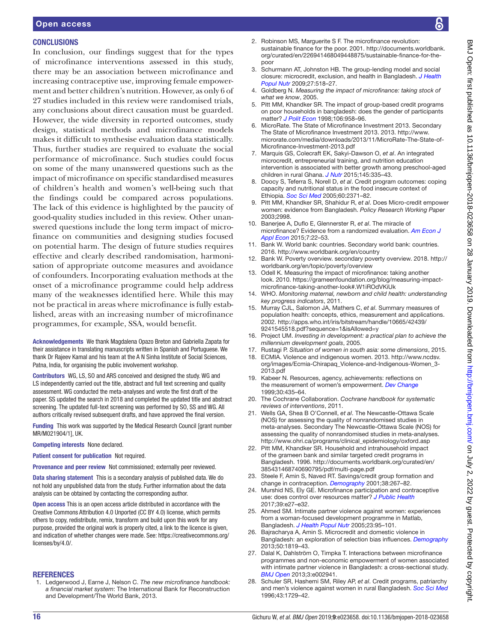# **CONCLUSIONS**

In conclusion, our findings suggest that for the types of microfinance interventions assessed in this study, there may be an association between microfinance and increasing contraceptive use, improving female empowerment and better children's nutrition. However, as only 6 of 27 studies included in this review were randomised trials, any conclusions about direct causation must be guarded. However, the wide diversity in reported outcomes, study design, statistical methods and microfinance models makes it difficult to synthesise evaluation data statistically. Thus, further studies are required to evaluate the social performance of microfinance. Such studies could focus on some of the many unanswered questions such as the impact of microfinance on specific standardised measures of children's health and women's well-being such that the findings could be compared across populations. The lack of this evidence is highlighted by the paucity of good-quality studies included in this review. Other unanswered questions include the long term impact of microfinance on communities and designing studies focused on potential harm. The design of future studies requires effective and clearly described randomisation, harmonisation of appropriate outcome measures and avoidance of confounders. Incorporating evaluation methods at the onset of a microfinance programme could help address many of the weaknesses identified here. While this may not be practical in areas where microfinance is fully established, areas with an increasing number of microfinance programmes, for example, SSA, would benefit.

Acknowledgements We thank Magdalena Opazo Breton and Gabriella Zapata for their assistance in translating manuscripts written in Spanish and Portuguese. We thank Dr Rajeev Kamal and his team at the A N Sinha Institute of Social Sciences, Patna, India, for organising the public involvement workshop.

Contributors WG, LS, SO and ARS conceived and designed the study. WG and LS independently carried out the title, abstract and full text screening and quality assessment. WG conducted the meta-analyses and wrote the first draft of the paper. SS updated the search in 2018 and completed the updated title and abstract screening. The updated full-text screening was performed by SO, SS and WG. All authors critically revised subsequent drafts, and have approved the final version.

Funding This work was supported by the Medical Research Council [grant number MR/M021904/1], UK.

Competing interests None declared.

Patient consent for publication Not required.

Provenance and peer review Not commissioned; externally peer reviewed.

Data sharing statement This is a secondary analysis of published data. We do not hold any unpublished data from the study. Further information about the data analysis can be obtained by contacting the corresponding author.

Open access This is an open access article distributed in accordance with the Creative Commons Attribution 4.0 Unported (CC BY 4.0) license, which permits others to copy, redistribute, remix, transform and build upon this work for any purpose, provided the original work is properly cited, a link to the licence is given, and indication of whether changes were made. See: [https://creativecommons.org/](https://creativecommons.org/licenses/by/4.0/) [licenses/by/4.0/.](https://creativecommons.org/licenses/by/4.0/)

#### **REFERENCES**

<span id="page-15-0"></span>1. Ledgerwood J, Earne J, Nelson C. *The new microfinance handbook: a financial market system*: The International Bank for Reconstruction and Development/The World Bank, 2013.

- <span id="page-15-1"></span>2. Robinson MS, Marguerite S F. The microfinance revolution: sustainable finance for the poor. 2001. [http://documents.worldbank.](http://documents.worldbank.org/curated/en/226941468049448875/sustainable-finance-for-the-poor) [org/curated/en/226941468049448875/sustainable-finance-for-the](http://documents.worldbank.org/curated/en/226941468049448875/sustainable-finance-for-the-poor)[poor](http://documents.worldbank.org/curated/en/226941468049448875/sustainable-finance-for-the-poor)
- <span id="page-15-2"></span>3. Schurmann AT, Johnston HB. The group-lending model and social closure: microcredit, exclusion, and health in Bangladesh. *[J Health](http://dx.doi.org/10.3329/jhpn.v27i4.3398)  [Popul Nutr](http://dx.doi.org/10.3329/jhpn.v27i4.3398)* 2009;27:518–27.
- <span id="page-15-3"></span>4. Goldberg N. *Measuring the impact of microfinance: taking stock of what we know*, 2005.
- <span id="page-15-4"></span>5. Pitt MM, Khandker SR. The impact of group‐based credit programs on poor households in bangladesh: does the gender of participants matter? *[J Polit Econ](http://dx.doi.org/10.1086/250037)* 1998;106:958–96.
- <span id="page-15-5"></span>6. MicroRate. The State of Microfinance Investment 2013. Secondary The State of Microfinance Investment 2013. 2013. [http://www.](http://www.microrate.com/media/downloads/2013/11/MicroRate-The-State-of-Microfinance-Investment-2013.pdf) [microrate.com/media/downloads/2013/11/MicroRate-The-State-of-](http://www.microrate.com/media/downloads/2013/11/MicroRate-The-State-of-Microfinance-Investment-2013.pdf)[Microfinance-Investment-2013.pdf](http://www.microrate.com/media/downloads/2013/11/MicroRate-The-State-of-Microfinance-Investment-2013.pdf)
- <span id="page-15-6"></span>7. Marquis GS, Colecraft EK, Sakyi-Dawson O, *et al*. An integrated microcredit, entrepreneurial training, and nutrition education intervention is associated with better growth among preschool-aged children in rural Ghana. *[J Nutr](http://dx.doi.org/10.3945/jn.114.194498)* 2015;145:335–43.
- <span id="page-15-7"></span>8. Doocy S, Teferra S, Norell D, *et al*. Credit program outcomes: coping capacity and nutritional status in the food insecure context of Ethiopia. *[Soc Sci Med](http://dx.doi.org/10.1016/j.socscimed.2004.10.025)* 2005;60:2371–82.
- <span id="page-15-8"></span>9. Pitt MM, Khandker SR, Shahidur R, *et al*. Does Micro-credit empower women: evidence from Bangladesh. *Policy Research Working Paper* 2003;2998.
- <span id="page-15-9"></span>10. Banerjee A, Duflo E, Glennerster R, *et al*. The miracle of microfinance? Evidence from a randomized evaluation. *[Am Econ J](http://dx.doi.org/10.1257/app.20130533)  [Appl Econ](http://dx.doi.org/10.1257/app.20130533)* 2015;7:22–53.
- <span id="page-15-10"></span>11. Bank W. World bank: countries. Secondary world bank: countries. 2016. <http://www.worldbank.org/en/country>
- <span id="page-15-11"></span>12. Bank W. Poverty overview. secondary poverty overview. 2018. [http://](http://worldbank.org/en/topic/poverty/overview) [worldbank.org/en/topic/poverty/overview](http://worldbank.org/en/topic/poverty/overview)
- <span id="page-15-12"></span>13. Odell K. Measuring the impact of microfinance: taking another look. 2010. [https://grameenfoundation.org/blog/measuring-impact](https://grameenfoundation.org/blog/measuring-impact-microfinance-taking-another-look#.W1iROdVKiUk)[microfinance-taking-another-look#.W1iROdVKiUk](https://grameenfoundation.org/blog/measuring-impact-microfinance-taking-another-look#.W1iROdVKiUk)
- <span id="page-15-13"></span>14. WHO. *Monitoring maternal, newborn and child health: understanding key progress indicators*, 2011.
- 15. Murray CJL, Salomon JA, Mathers C, *et al*. Summary measures of population health: concepts, ethics, measurement and applications. 2002. [http://apps.who.int/iris/bitstream/handle/10665/42439/](http://apps.who.int/iris/bitstream/handle/10665/42439/9241545518.pdf?sequence=1&isAllowed=y) [9241545518.pdf?sequence=1&isAllowed=y](http://apps.who.int/iris/bitstream/handle/10665/42439/9241545518.pdf?sequence=1&isAllowed=y)
- <span id="page-15-14"></span>16. Project UM. *Investing in development: a practical plan to achieve the millennium development goals*, 2005.
- <span id="page-15-15"></span>17. Rustagi P. *Situation of women in south asia: some dimensions*, 2015.
- 18. ECMIA. Violence and indigenous women. 2013. [http://www.ncdsv.](http://www.ncdsv.org/images/Ecmia-Chirapaq_Violence-and-Indigenous-Women_3-2013.pdf) [org/images/Ecmia-Chirapaq\\_Violence-and-Indigenous-Women\\_3-](http://www.ncdsv.org/images/Ecmia-Chirapaq_Violence-and-Indigenous-Women_3-2013.pdf) [2013.pdf](http://www.ncdsv.org/images/Ecmia-Chirapaq_Violence-and-Indigenous-Women_3-2013.pdf)
- 19. Kabeer N. Resources, agency, achievements: reflections on the measurement of women's empowerment. *[Dev Change](http://dx.doi.org/10.1111/1467-7660.00125)* 1999;30:435–64.
- <span id="page-15-16"></span>20. The Cochrane Collaboration. *Cochrane handbook for systematic reviews of interventions*, 2011.
- <span id="page-15-17"></span>21. Wells GA, Shea B O'Connell, *et al*. The Newcastle-Ottawa Scale (NOS) for assessing the quality of nonrandomised studies in meta-analyses. Secondary The Newcastle-Ottawa Scale (NOS) for assessing the quality of nonrandomised studies in meta-analyses. [http://www.ohri.ca/programs/clinical\\_epidemiology/oxford.asp](http://www.ohri.ca/programs/clinical_epidemiology/oxford.asp)
- <span id="page-15-18"></span>22. Pitt MM, Khandker SR. Household and intrahousehold impact of the grameen bank and similar targeted credit programs in Bangladesh. 1996. [http://documents.worldbank.org/curated/en/](http://documents.worldbank.org/curated/en/385431468740690795/pdf/multi-page.pdf) [385431468740690795/pdf/multi-page.pdf](http://documents.worldbank.org/curated/en/385431468740690795/pdf/multi-page.pdf)
- <span id="page-15-23"></span>23. Steele F, Amin S, Naved RT. Savings/credit group formation and change in contraception. *[Demography](http://dx.doi.org/10.1353/dem.2001.0021)* 2001;38:267–82.
- <span id="page-15-24"></span>24. Murshid NS, Ely GE. Microfinance participation and contraceptive use: does control over resources matter? *[J Public Health](http://dx.doi.org/10.1093/pubmed/fdw066)* 2017;39:e27–e32.
- <span id="page-15-19"></span>25. Ahmed SM. Intimate partner violence against women: experiences from a woman-focused development programme in Matlab, Bangladesh. *[J Health Popul Nutr](http://www.ncbi.nlm.nih.gov/pubmed/15884757)* 2005;23:95–101.
- <span id="page-15-20"></span>26. Bajracharya A, Amin S. Microcredit and domestic violence in Bangladesh: an exploration of selection bias influences. *[Demography](http://dx.doi.org/10.1007/s13524-013-0226-0)* 2013;50:1819–43.
- <span id="page-15-22"></span>27. Dalal K, Dahlström O, Timpka T. Interactions between microfinance programmes and non-economic empowerment of women associated with intimate partner violence in Bangladesh: a cross-sectional study. *[BMJ Open](http://dx.doi.org/10.1136/bmjopen-2013-002941)* 2013;3:e002941.
- <span id="page-15-21"></span>28. Schuler SR, Hashemi SM, Riley AP, *et al*. Credit programs, patriarchy and men's violence against women in rural Bangladesh. *[Soc Sci Med](http://dx.doi.org/10.1016/S0277-9536(96)00068-8)* 1996;43:1729–42.